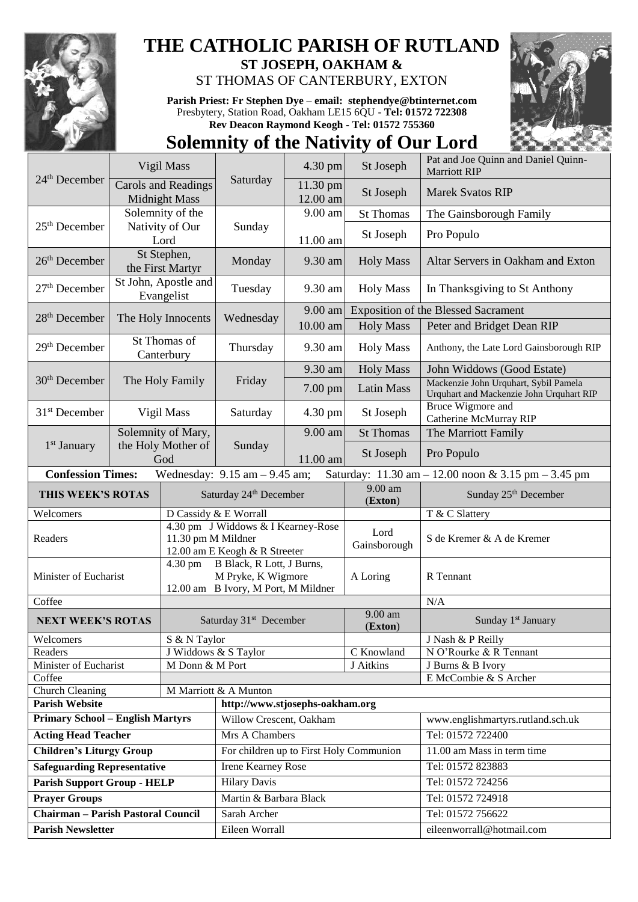

## **THE CATHOLIC PARISH OF RUTLAND**

**ST JOSEPH, OAKHAM &**  ST THOMAS OF CANTERBURY, EXTON

**Parish Priest: Fr Stephen Dye** – **[email: stephendye@btinternet.com](mailto:email:%20%20stephendye@btinternet.com)** Presbytery, Station Road, Oakham LE15 6QU - **Tel: 01572 722308 Rev Deacon Raymond Keogh - Tel: 01572 755360**

## **Solemnity of the Nativity of Our Lord**